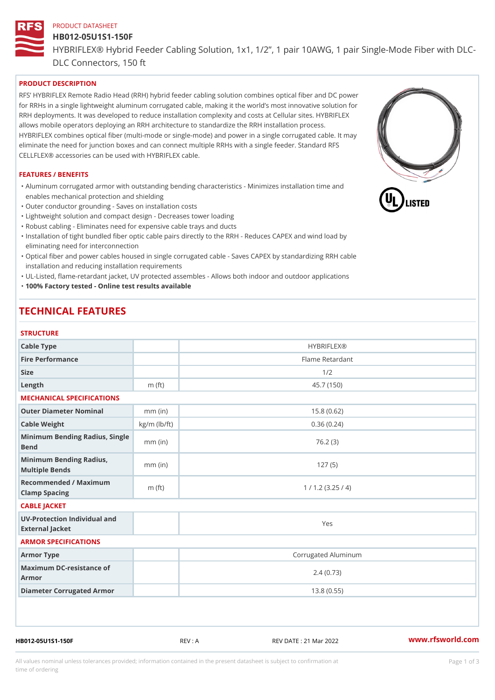# PRODUCT DATASHEET HB012-05U1S1-150F HYBRIFLEX® Hybrid Feeder Cabling Solution, 1x1, 1/2, 1 pair 10AWG, DLC Connectors, 150 ft

## PRODUCT DESCRIPTION

RFS HYBRIFLEX Remote Radio Head (RRH) hybrid feeder cabling solution combines optical fiber and for RRHs in a single lightweight aluminum corrugated cable, making it the world s most innovative s RRH deployments. It was developed to reduce installation complexity and costs at Cellular sites. HY allows mobile operators deploying an RRH architecture to standardize the RRH installation process. HYBRIFLEX combines optical fiber (multi-mode or single-mode) and power in a single corrugated cal eliminate the need for junction boxes and can connect multiple RRHs with a single feeder. Standard CELLFLEX® accessories can be used with HYBRIFLEX cable.

#### FEATURES / BENEFITS

"Aluminum corrugated armor with outstanding bending characteristics - Minimizes installation time a enables mechanical protection and shielding

"Outer conductor grounding - Saves on installation costs

"Lightweight solution and compact design - Decreases tower loading

"Robust cabling - Eliminates need for expensive cable trays and ducts

"Installation of tight bundled fiber optic cable pairs directly to the RRH - Reduces CAPEX and wind eliminating need for interconnection

"Optical fiber and power cables housed in single corrugated cable – Saves CAPEX by standardiz|ng installation and reducing installation requirements

"UL-Listed, flame-retardant jacket, UV protected assembles - Allows both indoor and outdoor applic "100% Factory tested - Online test results available

## TECHNICAL FEATURES

#### **STRUCTURE**

| Cable Type                                        |                    | <b>HYBRIFLEX®</b>   |
|---------------------------------------------------|--------------------|---------------------|
| Fire Performance                                  |                    | Flame Retardant     |
| Size                                              |                    | 1/2                 |
| Length                                            | $m$ (ft)           | 45.7(150)           |
| MECHANICAL SPECIFICATIONS                         |                    |                     |
| Outer Diameter Nominal                            | $mm$ (in)          | 15.8(0.62)          |
| Cable Weight                                      | $kg/m$ ( $lb/ft$ ) | 0.36(0.24)          |
| Minimum Bending Radius, Single<br>nm (in<br>Bend  |                    | 76.2(3)             |
| Minimum Bending Radius, mm (in)<br>Multiple Bends |                    | 127(5)              |
| Recommended / Maximum<br>Clamp Spacing            | $m$ (ft)           | 1 / 1.2 (3.25 / 4)  |
| CABLE JACKET                                      |                    |                     |
| UV-Protection Individual and<br>External Jacket   |                    | Yes                 |
| ARMOR SPECIFICATIONS                              |                    |                     |
| Armor Type                                        |                    | Corrugated Aluminum |
| Maximum DC-resistance of<br>Armor                 |                    | 2.4(0.73)           |
| Diameter Corrugated Armor                         |                    | 13.8(0.55)          |
|                                                   |                    |                     |
|                                                   |                    |                     |
|                                                   |                    |                     |

HB012-05U1S1-150F REV : A REV DATE : 21 Mar 2022 [www.](https://www.rfsworld.com)rfsworld.com

All values nominal unless tolerances provided; information contained in the present datasheet is subject to Pcapgeign mation time of ordering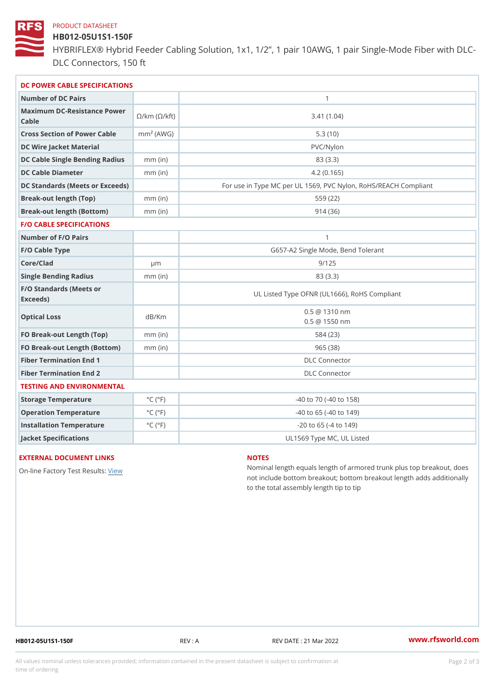#### PRODUCT DATASHEET

## HB012-05U1S1-150F

HYBRIFLEX® Hybrid Feeder Cabling Solution, 1x1, 1/2, 1 pair 10AWG, DLC Connectors, 150 ft

| DC POWER CABLE SPECIFICATIONS                                                                                                   |                             |                                                      |  |  |
|---------------------------------------------------------------------------------------------------------------------------------|-----------------------------|------------------------------------------------------|--|--|
| Number of DC Pairs                                                                                                              |                             | $\mathbf{1}$                                         |  |  |
| Maximum DC-Resistance $\bigotimes_{k=m}^{\infty}$ ( $\bigotimes_{k=m}^{\infty}$ /km ( $\bigotimes_{k=m}^{\infty}$ )<br>$C$ able |                             | 3.41(1.04)                                           |  |  |
| Cross Section of Power Cnamble (AWG)                                                                                            |                             | 5.3(10)                                              |  |  |
| DC Wire Jacket Material                                                                                                         |                             | $PVC/Ny$ lon                                         |  |  |
| DC Cable Single Bending Rhandi(uish)                                                                                            |                             | 83 (3.3)                                             |  |  |
| DC Cable Diameter                                                                                                               | $mm$ (in)                   | 4.2(0.165)                                           |  |  |
| DC Standards (Meets or Exceeds)                                                                                                 |                             | For use in Type MC per UL 1569, PVC Nylon, RoHS/REAC |  |  |
| Break-out length (Top)                                                                                                          | $mm$ (in)                   | 559 (22)                                             |  |  |
| Break-out length (Bottom) mm (in)                                                                                               |                             | 914(36)                                              |  |  |
| <b>F/O CABLE SPECIFICATIONS</b>                                                                                                 |                             |                                                      |  |  |
| Number of F/O Pairs                                                                                                             |                             | $\mathbf{1}$                                         |  |  |
| F/O Cable Type                                                                                                                  |                             | G657-A2 Single Mode, Bend Tolerant                   |  |  |
| Core/Clad                                                                                                                       | $\mu$ m                     | 9/125                                                |  |  |
| Single Bending Radius                                                                                                           | $mm$ (in)                   | 83 (3.3)                                             |  |  |
| F/O Standards (Meets or<br>Exceeds)                                                                                             |                             | UL Listed Type OFNR (UL1666), RoHS Compliant         |  |  |
| Optical Loss                                                                                                                    | dB/Km                       | $0.5 \t@ 1310 nm$<br>$0.5 \t@ 1550 nm$               |  |  |
| FO Break-out Length (Top)mm (in)                                                                                                |                             | 584 (23)                                             |  |  |
| FO Break-out Length (Bottomm) (in)                                                                                              |                             | 965(38)                                              |  |  |
| Fiber Termination End                                                                                                           |                             | DLC Connector                                        |  |  |
| Fiber Termination End 2                                                                                                         |                             | <b>DLC</b> Connector                                 |  |  |
| TESTING AND ENVIRONMENTAL                                                                                                       |                             |                                                      |  |  |
| Storage Temperature                                                                                                             | $^{\circ}$ C ( $^{\circ}$ F | $-40$ to $70$ ( $-40$ to $158$ )                     |  |  |
| Operation Temperature                                                                                                           | $^{\circ}$ C ( $^{\circ}$ F | $-40$ to $65$ ( $-40$ to $149$ )                     |  |  |
| Installation Temperature                                                                                                        | $^{\circ}$ C ( $^{\circ}$ F | $-20$ to 65 ( $-4$ to 149)                           |  |  |
| Jacket Specifications                                                                                                           |                             | UL1569 Type MC, UL Listed                            |  |  |

#### EXTERNAL DOCUMENT LINKS

On-line Factory Te[s](https://www.rfsworld.com/pictures/userfiles/programs/AAST Latest Version.zip)teRwesults:

#### NOTES

Nominal length equals length of armored trunk plus not include bottom breakout; bottom breakout length to the total assembly length tip to tip

HB012-05U1S1-150F REV : A REV DATE : 21 Mar 2022 [www.](https://www.rfsworld.com)rfsworld.com